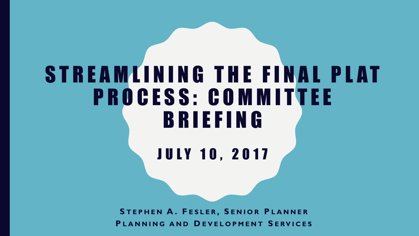## STREAMLINING THE FINAL PLAT PROCESS: COMMITTEE B R I E F I N G

**JULY 10, 2017** 

**S T E P H E N A . F E S L E R , S E N I O R P L A N N E R P L A N N I N G AND D E V E L O P M E N T S E R V I C E S**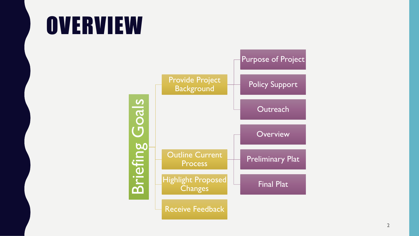## **OVERVIEW**

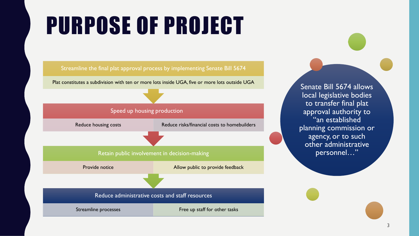# PURPOSE OF PROJECT

#### Streamline the final plat approval process by implementing Senate Bill 5674

Plat constitutes a subdivision with ten or more lots inside UGA, five or more lots outside UGA Senate Bill 5674 allows

#### Speed up housing production

Reduce housing costs Reduce risks/financial costs to homebuilders

#### Retain public involvement in decision-making

Provide notice **Allow public to provide feedback** 

#### Reduce administrative costs and staff resources

Streamline processes Free up staff for other tasks

local legislative bodies to transfer final plat approval authority to "an established planning commission or agency, or to such other administrative personnel…"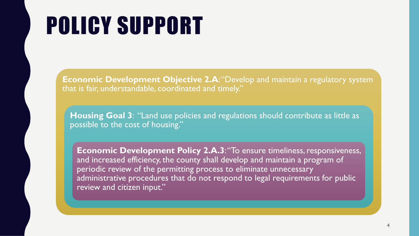# POLICY SUPPORT

**Economic Development Objective 2.A:** "Develop and maintain a regulatory system that is fair, understandable, coordinated and timely."

**Housing Goal 3**: "Land use policies and regulations should contribute as little as possible to the cost of housing."

**Economic Development Policy 2.A.3**: "To ensure timeliness, responsiveness, and increased efficiency, the county shall develop and maintain a program of periodic review of the permitting process to eliminate unnecessary administrative procedures that do not respond to legal requirements for public review and citizen input."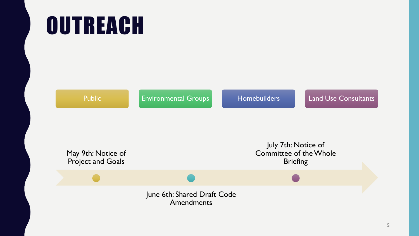# **OUTREACH**

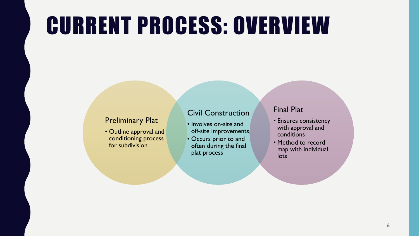## CURRENT PROCESS: OVERVIEW

### Preliminary Plat

• Outline approval and conditioning process for subdivision

### Civil Construction

- Involves on-site and off-site improvements
- Occurs prior to and often during the final plat process

### Final Plat

- Ensures consistency with approval and conditions
- Method to record map with individual lots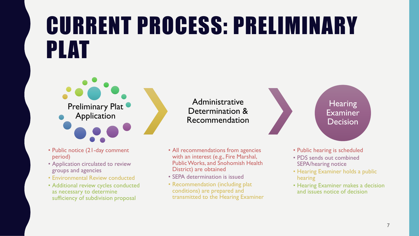## CURRENT PROCESS: PRELIMINARY PLAT



Administrative Determination & Recommendation

- Public notice (21-day comment period)
- Application circulated to review groups and agencies
- Environmental Review conducted
- Additional review cycles conducted as necessary to determine sufficiency of subdivision proposal
- All recommendations from agencies with an interest (e.g., Fire Marshal, Public Works, and Snohomish Health District) are obtained
- SEPA determination is issued
- Recommendation (including plat conditions) are prepared and transmitted to the Hearing Examiner



- Public hearing is scheduled
- PDS sends out combined SEPA/hearing notice
- Hearing Examiner holds a public hearing
- Hearing Examiner makes a decision and issues notice of decision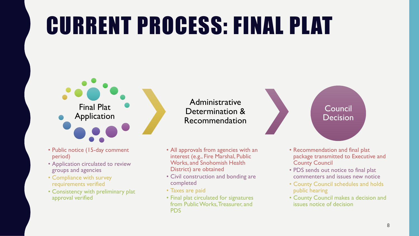# CURRENT PROCESS: FINAL PLAT



- Public notice (15-day comment period)
- Application circulated to review groups and agencies
- Compliance with survey requirements verified
- Consistency with preliminary plat approval verified

Administrative Determination & Recommendation

- All approvals from agencies with an interest (e.g., Fire Marshal, Public Works, and Snohomish Health District) are obtained
- Civil construction and bonding are completed
- Taxes are paid
- Final plat circulated for signatures from Public Works, Treasurer, and PDS



- Recommendation and final plat package transmitted to Executive and County Council
- PDS sends out notice to final plat commenters and issues new notice
- County Council schedules and holds public hearing
- County Council makes a decision and issues notice of decision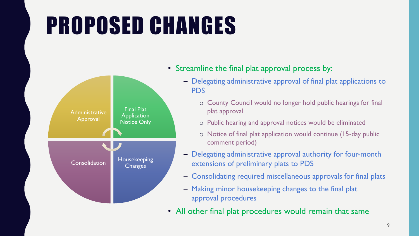# PROPOSED CHANGES



- Streamline the final plat approval process by:
	- Delegating administrative approval of final plat applications to PDS
		- o County Council would no longer hold public hearings for final plat approval
		- o Public hearing and approval notices would be eliminated
		- o Notice of final plat application would continue (15-day public comment period)
	- Delegating administrative approval authority for four-month extensions of preliminary plats to PDS
	- Consolidating required miscellaneous approvals for final plats
	- Making minor housekeeping changes to the final plat approval procedures
- All other final plat procedures would remain that same